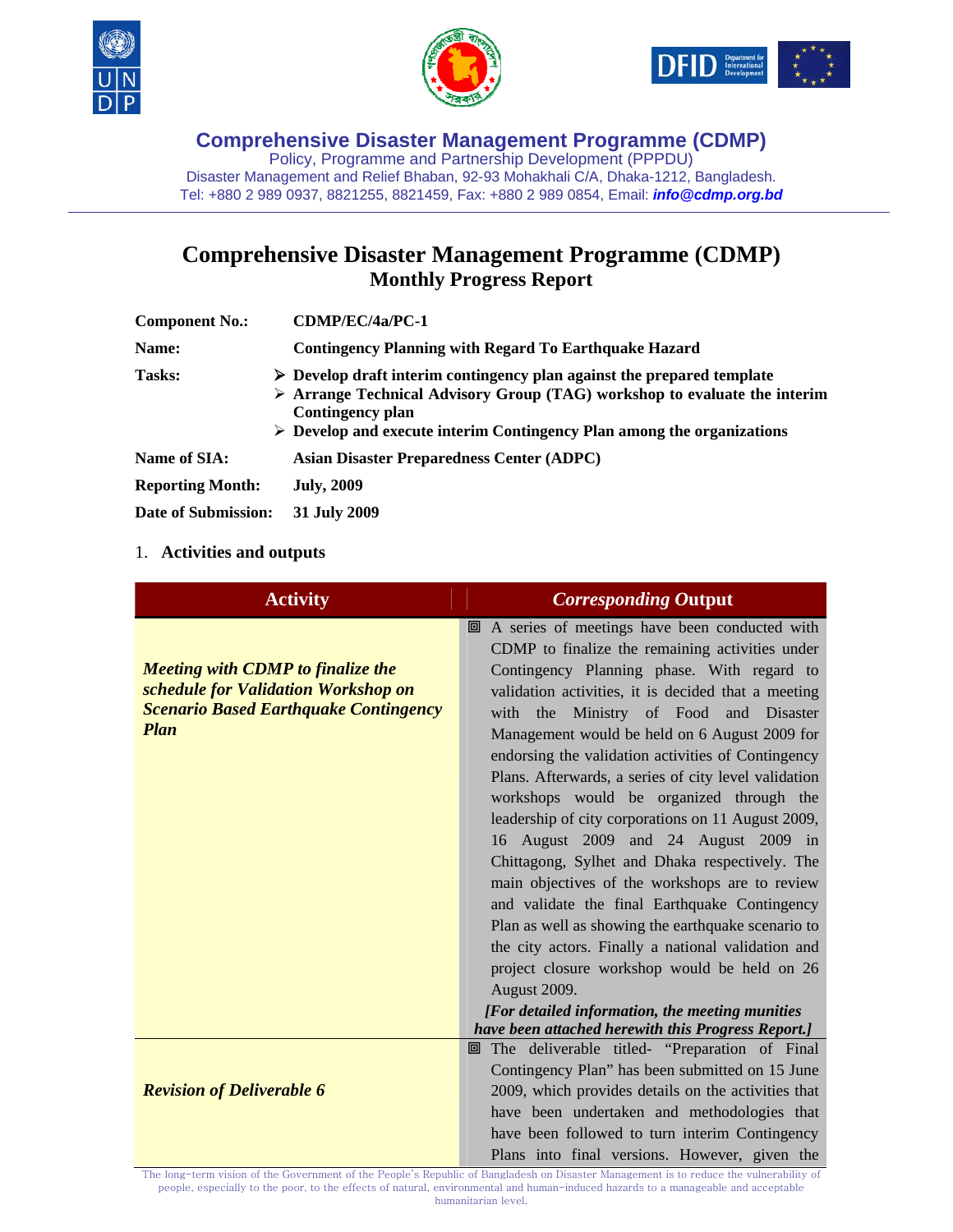





**Comprehensive Disaster Management Programme (CDMP)**  Policy, Programme and Partnership Development (PPPDU) Disaster Management and Relief Bhaban, 92-93 Mohakhali C/A, Dhaka-1212, Bangladesh. Tel: +880 2 989 0937, 8821255, 8821459, Fax: +880 2 989 0854, Email: *info@cdmp.org.bd*

# **Comprehensive Disaster Management Programme (CDMP) Monthly Progress Report**

| <b>Component No.:</b>   | CDMP/EC/4a/PC-1                                                                                                                                                                                                                                                                                |  |
|-------------------------|------------------------------------------------------------------------------------------------------------------------------------------------------------------------------------------------------------------------------------------------------------------------------------------------|--|
| <b>Name:</b>            | <b>Contingency Planning with Regard To Earthquake Hazard</b>                                                                                                                                                                                                                                   |  |
| <b>Tasks:</b>           | $\triangleright$ Develop draft interim contingency plan against the prepared template<br>$\triangleright$ Arrange Technical Advisory Group (TAG) workshop to evaluate the interim<br>Contingency plan<br>$\triangleright$ Develop and execute interim Contingency Plan among the organizations |  |
| <b>Name of SIA:</b>     | <b>Asian Disaster Preparedness Center (ADPC)</b>                                                                                                                                                                                                                                               |  |
| <b>Reporting Month:</b> | <b>July, 2009</b>                                                                                                                                                                                                                                                                              |  |
| Date of Submission:     | 31 July 2009                                                                                                                                                                                                                                                                                   |  |

### 1. **Activities and outputs**

| <b>Activity</b>                                                                                                                                | <b>Corresponding Output</b>                                                                                                                                                                                                                                                                                                                                                                                                                                                                                                                                                                                                                                                                                                                                                                                                                                                                 |
|------------------------------------------------------------------------------------------------------------------------------------------------|---------------------------------------------------------------------------------------------------------------------------------------------------------------------------------------------------------------------------------------------------------------------------------------------------------------------------------------------------------------------------------------------------------------------------------------------------------------------------------------------------------------------------------------------------------------------------------------------------------------------------------------------------------------------------------------------------------------------------------------------------------------------------------------------------------------------------------------------------------------------------------------------|
| <b>Meeting with CDMP to finalize the</b><br>schedule for Validation Workshop on<br><b>Scenario Based Earthquake Contingency</b><br><b>Plan</b> | 回 A series of meetings have been conducted with<br>CDMP to finalize the remaining activities under<br>Contingency Planning phase. With regard to<br>validation activities, it is decided that a meeting<br>with the Ministry of Food and Disaster<br>Management would be held on 6 August 2009 for<br>endorsing the validation activities of Contingency<br>Plans. Afterwards, a series of city level validation<br>workshops would be organized through the<br>leadership of city corporations on 11 August 2009,<br>16 August 2009 and 24 August 2009 in<br>Chittagong, Sylhet and Dhaka respectively. The<br>main objectives of the workshops are to review<br>and validate the final Earthquake Contingency<br>Plan as well as showing the earthquake scenario to<br>the city actors. Finally a national validation and<br>project closure workshop would be held on 26<br>August 2009. |
|                                                                                                                                                | [For detailed information, the meeting munities]<br>have been attached herewith this Progress Report.]                                                                                                                                                                                                                                                                                                                                                                                                                                                                                                                                                                                                                                                                                                                                                                                      |
| <b>Revision of Deliverable 6</b>                                                                                                               | The deliverable titled- "Preparation of Final<br>回<br>Contingency Plan" has been submitted on 15 June<br>2009, which provides details on the activities that<br>have been undertaken and methodologies that<br>have been followed to turn interim Contingency<br>Plans into final versions. However, given the                                                                                                                                                                                                                                                                                                                                                                                                                                                                                                                                                                              |

The long-term vision of the Government of the People's Republic of Bangladesh on Disaster Management is to reduce the vulnerability of people, especially to the poor, to the effects of natural, environmental and human-induced hazards to a manageable and acceptable humanitarian level.